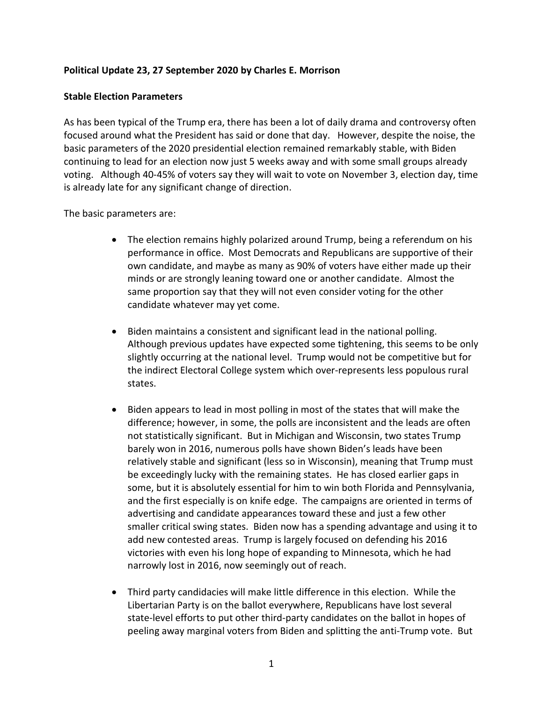### **Political Update 23, 27 September 2020 by Charles E. Morrison**

### **Stable Election Parameters**

As has been typical of the Trump era, there has been a lot of daily drama and controversy often focused around what the President has said or done that day. However, despite the noise, the basic parameters of the 2020 presidential election remained remarkably stable, with Biden continuing to lead for an election now just 5 weeks away and with some small groups already voting. Although 40-45% of voters say they will wait to vote on November 3, election day, time is already late for any significant change of direction.

The basic parameters are:

- The election remains highly polarized around Trump, being a referendum on his performance in office. Most Democrats and Republicans are supportive of their own candidate, and maybe as many as 90% of voters have either made up their minds or are strongly leaning toward one or another candidate. Almost the same proportion say that they will not even consider voting for the other candidate whatever may yet come.
- Biden maintains a consistent and significant lead in the national polling. Although previous updates have expected some tightening, this seems to be only slightly occurring at the national level. Trump would not be competitive but for the indirect Electoral College system which over-represents less populous rural states.
- Biden appears to lead in most polling in most of the states that will make the difference; however, in some, the polls are inconsistent and the leads are often not statistically significant. But in Michigan and Wisconsin, two states Trump barely won in 2016, numerous polls have shown Biden's leads have been relatively stable and significant (less so in Wisconsin), meaning that Trump must be exceedingly lucky with the remaining states. He has closed earlier gaps in some, but it is absolutely essential for him to win both Florida and Pennsylvania, and the first especially is on knife edge. The campaigns are oriented in terms of advertising and candidate appearances toward these and just a few other smaller critical swing states. Biden now has a spending advantage and using it to add new contested areas. Trump is largely focused on defending his 2016 victories with even his long hope of expanding to Minnesota, which he had narrowly lost in 2016, now seemingly out of reach.
- Third party candidacies will make little difference in this election. While the Libertarian Party is on the ballot everywhere, Republicans have lost several state-level efforts to put other third-party candidates on the ballot in hopes of peeling away marginal voters from Biden and splitting the anti-Trump vote. But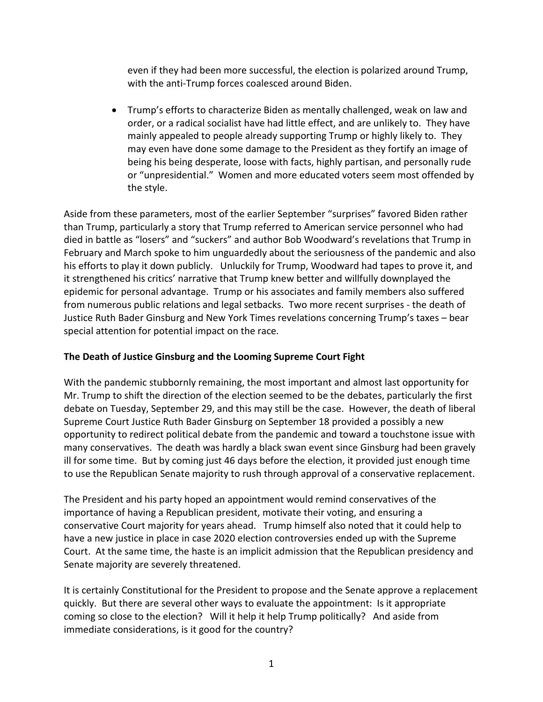even if they had been more successful, the election is polarized around Trump, with the anti-Trump forces coalesced around Biden.

• Trump's efforts to characterize Biden as mentally challenged, weak on law and order, or a radical socialist have had little effect, and are unlikely to. They have mainly appealed to people already supporting Trump or highly likely to. They may even have done some damage to the President as they fortify an image of being his being desperate, loose with facts, highly partisan, and personally rude or "unpresidential." Women and more educated voters seem most offended by the style.

Aside from these parameters, most of the earlier September "surprises" favored Biden rather than Trump, particularly a story that Trump referred to American service personnel who had died in battle as "losers" and "suckers" and author Bob Woodward's revelations that Trump in February and March spoke to him unguardedly about the seriousness of the pandemic and also his efforts to play it down publicly. Unluckily for Trump, Woodward had tapes to prove it, and it strengthened his critics' narrative that Trump knew better and willfully downplayed the epidemic for personal advantage. Trump or his associates and family members also suffered from numerous public relations and legal setbacks. Two more recent surprises - the death of Justice Ruth Bader Ginsburg and New York Times revelations concerning Trump's taxes – bear special attention for potential impact on the race.

## **The Death of Justice Ginsburg and the Looming Supreme Court Fight**

With the pandemic stubbornly remaining, the most important and almost last opportunity for Mr. Trump to shift the direction of the election seemed to be the debates, particularly the first debate on Tuesday, September 29, and this may still be the case. However, the death of liberal Supreme Court Justice Ruth Bader Ginsburg on September 18 provided a possibly a new opportunity to redirect political debate from the pandemic and toward a touchstone issue with many conservatives. The death was hardly a black swan event since Ginsburg had been gravely ill for some time. But by coming just 46 days before the election, it provided just enough time to use the Republican Senate majority to rush through approval of a conservative replacement.

The President and his party hoped an appointment would remind conservatives of the importance of having a Republican president, motivate their voting, and ensuring a conservative Court majority for years ahead. Trump himself also noted that it could help to have a new justice in place in case 2020 election controversies ended up with the Supreme Court. At the same time, the haste is an implicit admission that the Republican presidency and Senate majority are severely threatened.

It is certainly Constitutional for the President to propose and the Senate approve a replacement quickly. But there are several other ways to evaluate the appointment: Is it appropriate coming so close to the election? Will it help it help Trump politically? And aside from immediate considerations, is it good for the country?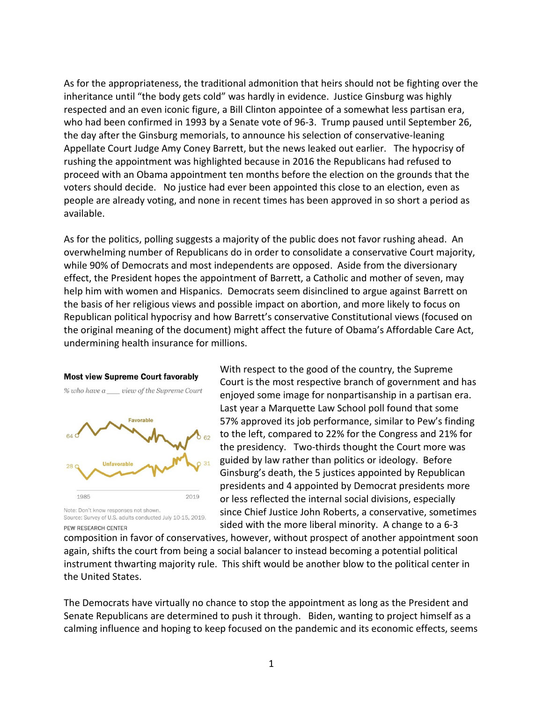As for the appropriateness, the traditional admonition that heirs should not be fighting over the inheritance until "the body gets cold" was hardly in evidence. Justice Ginsburg was highly respected and an even iconic figure, a Bill Clinton appointee of a somewhat less partisan era, who had been confirmed in 1993 by a Senate vote of 96-3. Trump paused until September 26, the day after the Ginsburg memorials, to announce his selection of conservative-leaning Appellate Court Judge Amy Coney Barrett, but the news leaked out earlier. The hypocrisy of rushing the appointment was highlighted because in 2016 the Republicans had refused to proceed with an Obama appointment ten months before the election on the grounds that the voters should decide. No justice had ever been appointed this close to an election, even as people are already voting, and none in recent times has been approved in so short a period as available.

As for the politics, polling suggests a majority of the public does not favor rushing ahead. An overwhelming number of Republicans do in order to consolidate a conservative Court majority, while 90% of Democrats and most independents are opposed. Aside from the diversionary effect, the President hopes the appointment of Barrett, a Catholic and mother of seven, may help him with women and Hispanics. Democrats seem disinclined to argue against Barrett on the basis of her religious views and possible impact on abortion, and more likely to focus on Republican political hypocrisy and how Barrett's conservative Constitutional views (focused on the original meaning of the document) might affect the future of Obama's Affordable Care Act, undermining health insurance for millions.



Source: Survey of U.S. adults conducted July 10-15, 2019. PFW RESEARCH CENTER

With respect to the good of the country, the Supreme Court is the most respective branch of government and has enjoyed some image for nonpartisanship in a partisan era. Last year a Marquette Law School poll found that some 57% approved its job performance, similar to Pew's finding to the left, compared to 22% for the Congress and 21% for the presidency. Two-thirds thought the Court more was guided by law rather than politics or ideology. Before Ginsburg's death, the 5 justices appointed by Republican presidents and 4 appointed by Democrat presidents more or less reflected the internal social divisions, especially since Chief Justice John Roberts, a conservative, sometimes sided with the more liberal minority. A change to a 6-3

composition in favor of conservatives, however, without prospect of another appointment soon again, shifts the court from being a social balancer to instead becoming a potential political instrument thwarting majority rule. This shift would be another blow to the political center in the United States.

The Democrats have virtually no chance to stop the appointment as long as the President and Senate Republicans are determined to push it through. Biden, wanting to project himself as a calming influence and hoping to keep focused on the pandemic and its economic effects, seems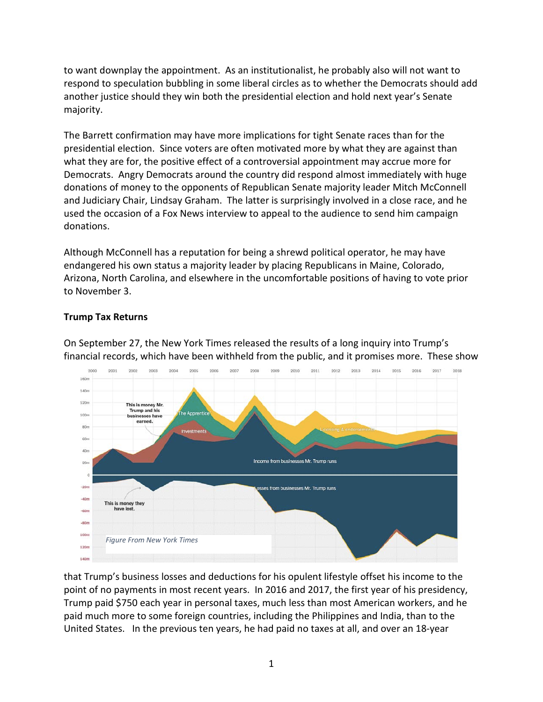to want downplay the appointment. As an institutionalist, he probably also will not want to respond to speculation bubbling in some liberal circles as to whether the Democrats should add another justice should they win both the presidential election and hold next year's Senate majority.

The Barrett confirmation may have more implications for tight Senate races than for the presidential election. Since voters are often motivated more by what they are against than what they are for, the positive effect of a controversial appointment may accrue more for Democrats. Angry Democrats around the country did respond almost immediately with huge donations of money to the opponents of Republican Senate majority leader Mitch McConnell and Judiciary Chair, Lindsay Graham. The latter is surprisingly involved in a close race, and he used the occasion of a Fox News interview to appeal to the audience to send him campaign donations.

Although McConnell has a reputation for being a shrewd political operator, he may have endangered his own status a majority leader by placing Republicans in Maine, Colorado, Arizona, North Carolina, and elsewhere in the uncomfortable positions of having to vote prior to November 3.

# **Trump Tax Returns**

On September 27, the New York Times released the results of a long inquiry into Trump's financial records, which have been withheld from the public, and it promises more. These show



that Trump's business losses and deductions for his opulent lifestyle offset his income to the point of no payments in most recent years. In 2016 and 2017, the first year of his presidency, Trump paid \$750 each year in personal taxes, much less than most American workers, and he paid much more to some foreign countries, including the Philippines and India, than to the United States. In the previous ten years, he had paid no taxes at all, and over an 18-year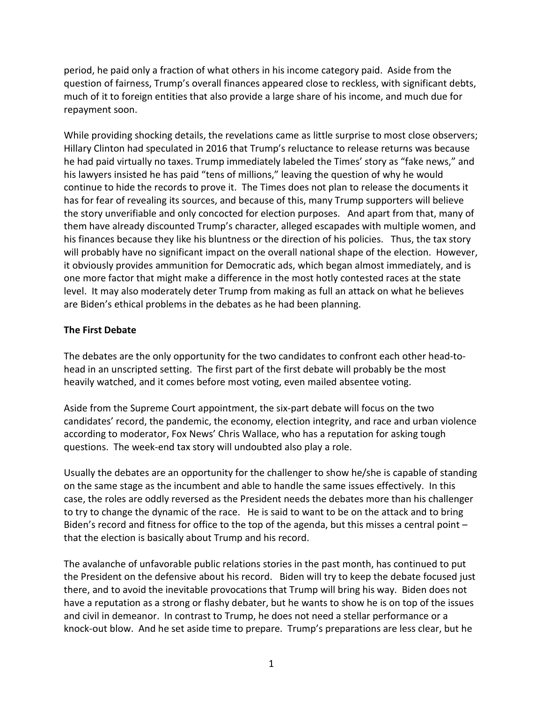period, he paid only a fraction of what others in his income category paid. Aside from the question of fairness, Trump's overall finances appeared close to reckless, with significant debts, much of it to foreign entities that also provide a large share of his income, and much due for repayment soon.

While providing shocking details, the revelations came as little surprise to most close observers; Hillary Clinton had speculated in 2016 that Trump's reluctance to release returns was because he had paid virtually no taxes. Trump immediately labeled the Times' story as "fake news," and his lawyers insisted he has paid "tens of millions," leaving the question of why he would continue to hide the records to prove it. The Times does not plan to release the documents it has for fear of revealing its sources, and because of this, many Trump supporters will believe the story unverifiable and only concocted for election purposes. And apart from that, many of them have already discounted Trump's character, alleged escapades with multiple women, and his finances because they like his bluntness or the direction of his policies. Thus, the tax story will probably have no significant impact on the overall national shape of the election. However, it obviously provides ammunition for Democratic ads, which began almost immediately, and is one more factor that might make a difference in the most hotly contested races at the state level. It may also moderately deter Trump from making as full an attack on what he believes are Biden's ethical problems in the debates as he had been planning.

### **The First Debate**

The debates are the only opportunity for the two candidates to confront each other head-tohead in an unscripted setting. The first part of the first debate will probably be the most heavily watched, and it comes before most voting, even mailed absentee voting.

Aside from the Supreme Court appointment, the six-part debate will focus on the two candidates' record, the pandemic, the economy, election integrity, and race and urban violence according to moderator, Fox News' Chris Wallace, who has a reputation for asking tough questions. The week-end tax story will undoubted also play a role.

Usually the debates are an opportunity for the challenger to show he/she is capable of standing on the same stage as the incumbent and able to handle the same issues effectively. In this case, the roles are oddly reversed as the President needs the debates more than his challenger to try to change the dynamic of the race. He is said to want to be on the attack and to bring Biden's record and fitness for office to the top of the agenda, but this misses a central point – that the election is basically about Trump and his record.

The avalanche of unfavorable public relations stories in the past month, has continued to put the President on the defensive about his record. Biden will try to keep the debate focused just there, and to avoid the inevitable provocations that Trump will bring his way. Biden does not have a reputation as a strong or flashy debater, but he wants to show he is on top of the issues and civil in demeanor. In contrast to Trump, he does not need a stellar performance or a knock-out blow. And he set aside time to prepare. Trump's preparations are less clear, but he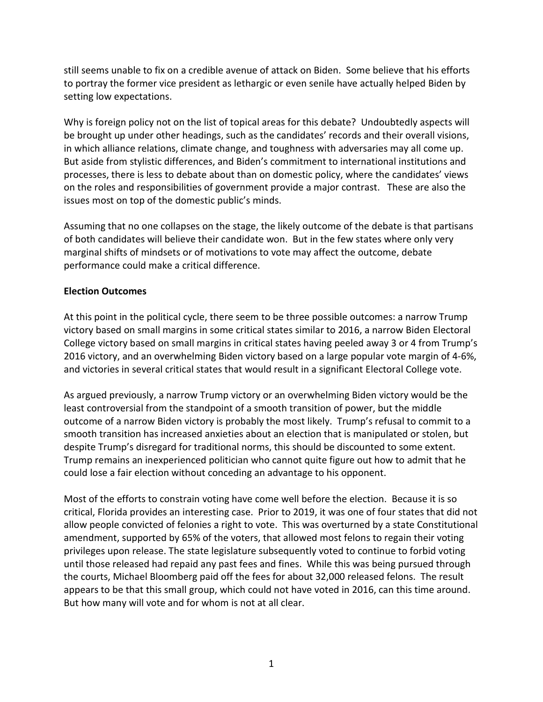still seems unable to fix on a credible avenue of attack on Biden. Some believe that his efforts to portray the former vice president as lethargic or even senile have actually helped Biden by setting low expectations.

Why is foreign policy not on the list of topical areas for this debate? Undoubtedly aspects will be brought up under other headings, such as the candidates' records and their overall visions, in which alliance relations, climate change, and toughness with adversaries may all come up. But aside from stylistic differences, and Biden's commitment to international institutions and processes, there is less to debate about than on domestic policy, where the candidates' views on the roles and responsibilities of government provide a major contrast. These are also the issues most on top of the domestic public's minds.

Assuming that no one collapses on the stage, the likely outcome of the debate is that partisans of both candidates will believe their candidate won. But in the few states where only very marginal shifts of mindsets or of motivations to vote may affect the outcome, debate performance could make a critical difference.

### **Election Outcomes**

At this point in the political cycle, there seem to be three possible outcomes: a narrow Trump victory based on small margins in some critical states similar to 2016, a narrow Biden Electoral College victory based on small margins in critical states having peeled away 3 or 4 from Trump's 2016 victory, and an overwhelming Biden victory based on a large popular vote margin of 4-6%, and victories in several critical states that would result in a significant Electoral College vote.

As argued previously, a narrow Trump victory or an overwhelming Biden victory would be the least controversial from the standpoint of a smooth transition of power, but the middle outcome of a narrow Biden victory is probably the most likely. Trump's refusal to commit to a smooth transition has increased anxieties about an election that is manipulated or stolen, but despite Trump's disregard for traditional norms, this should be discounted to some extent. Trump remains an inexperienced politician who cannot quite figure out how to admit that he could lose a fair election without conceding an advantage to his opponent.

Most of the efforts to constrain voting have come well before the election. Because it is so critical, Florida provides an interesting case. Prior to 2019, it was one of four states that did not allow people convicted of felonies a right to vote. This was overturned by a state Constitutional amendment, supported by 65% of the voters, that allowed most felons to regain their voting privileges upon release. The state legislature subsequently voted to continue to forbid voting until those released had repaid any past fees and fines. While this was being pursued through the courts, Michael Bloomberg paid off the fees for about 32,000 released felons. The result appears to be that this small group, which could not have voted in 2016, can this time around. But how many will vote and for whom is not at all clear.